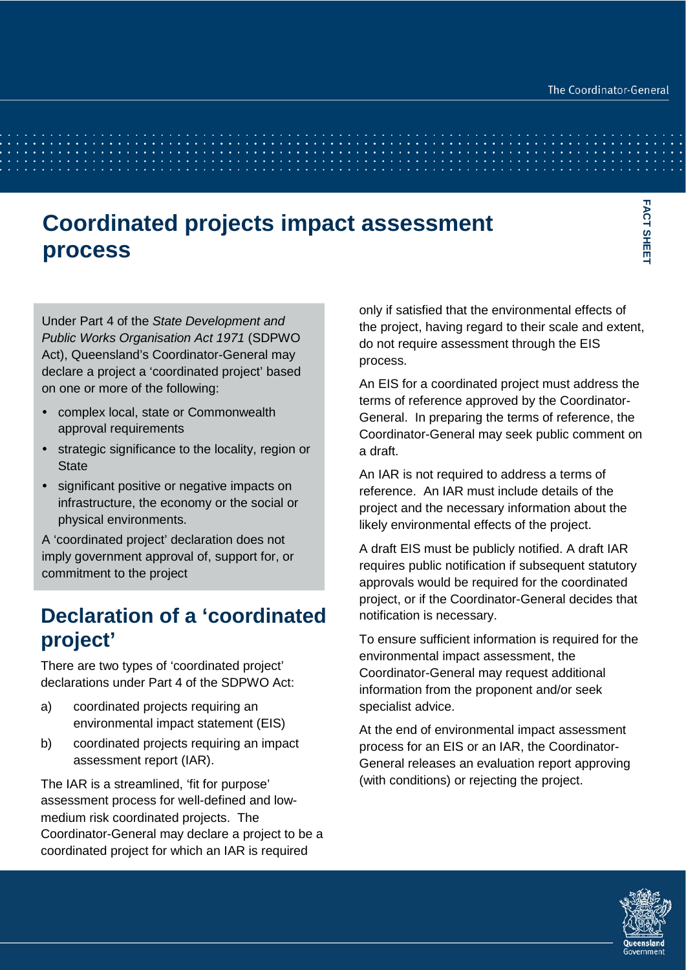# **Coordinated projects impact assessment process**

Under Part 4 of the *State Development and Public Works Organisation Act 1971* (SDPWO Act), Queensland's Coordinator-General may declare a project a 'coordinated project' based on one or more of the following:

- complex local, state or Commonwealth approval requirements
- strategic significance to the locality, region or **State**
- significant positive or negative impacts on infrastructure, the economy or the social or physical environments.

A 'coordinated project' declaration does not imply government approval of, support for, or commitment to the project

## **Declaration of a 'coordinated project'**

There are two types of 'coordinated project' declarations under Part 4 of the SDPWO Act:

- a) coordinated projects requiring an environmental impact statement (EIS)
- b) coordinated projects requiring an impact assessment report (IAR).

The IAR is a streamlined, 'fit for purpose' assessment process for well-defined and lowmedium risk coordinated projects. The Coordinator-General may declare a project to be a coordinated project for which an IAR is required

only if satisfied that the environmental effects of the project, having regard to their scale and extent, do not require assessment through the EIS process.

An EIS for a coordinated project must address the terms of reference approved by the Coordinator-General. In preparing the terms of reference, the Coordinator-General may seek public comment on a draft.

An IAR is not required to address a terms of reference. An IAR must include details of the project and the necessary information about the likely environmental effects of the project.

A draft EIS must be publicly notified. A draft IAR requires public notification if subsequent statutory approvals would be required for the coordinated project, or if the Coordinator-General decides that notification is necessary.

To ensure sufficient information is required for the environmental impact assessment, the Coordinator-General may request additional information from the proponent and/or seek specialist advice.

At the end of environmental impact assessment process for an EIS or an IAR, the Coordinator-General releases an evaluation report approving (with conditions) or rejecting the project.